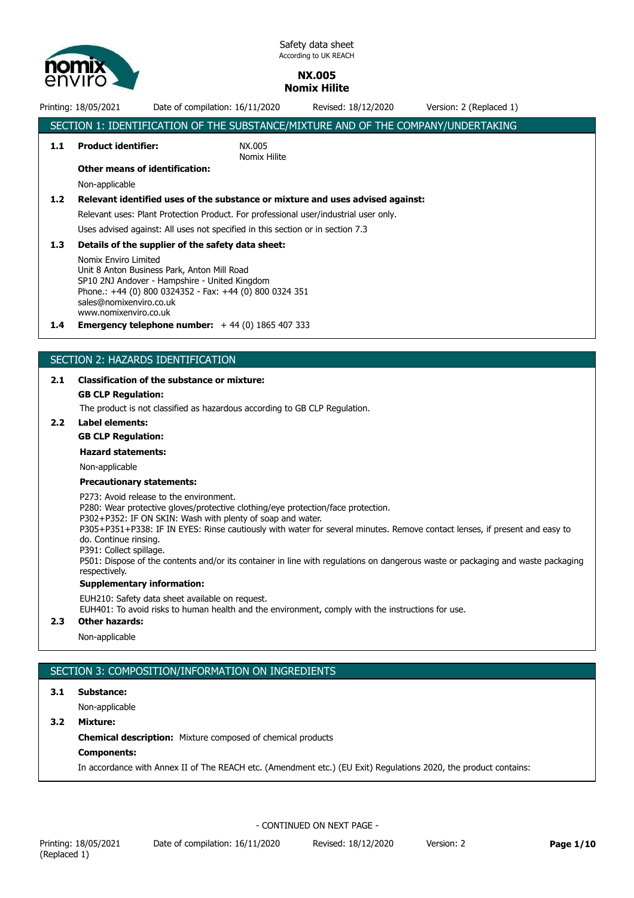

## **NX.005 Nomix Hilite**

## Printing: 18/05/2021 Date of compilation: 16/11/2020 Revised: 18/12/2020 Version: 2 (Replaced 1) SECTION 1: IDENTIFICATION OF THE SUBSTANCE/MIXTURE AND OF THE COMPANY/UNDERTAKING **1.1 Product identifier:** NX.005 Nomix Hilite **Other means of identification:** Non-applicable **1.2 Relevant identified uses of the substance or mixture and uses advised against:** Relevant uses: Plant Protection Product. For professional user/industrial user only. Uses advised against: All uses not specified in this section or in section 7.3 **1.3 Details of the supplier of the safety data sheet:** Nomix Enviro Limited Unit 8 Anton Business Park, Anton Mill Road SP10 2NJ Andover - Hampshire - United Kingdom Phone.: +44 (0) 800 0324352 - Fax: +44 (0) 800 0324 351 sales@nomixenviro.co.uk www.nomixenviro.co.uk **1.4 Emergency telephone number:** + 44 (0) 1865 407 333

## SECTION 2: HAZARDS IDENTIFICATION

## **2.1 Classification of the substance or mixture:**

## **GB CLP Regulation:**

The product is not classified as hazardous according to GB CLP Regulation.

## **2.2 Label elements:**

## **GB CLP Regulation:**

#### **Hazard statements:**

Non-applicable

#### **Precautionary statements:**

P273: Avoid release to the environment.

P280: Wear protective gloves/protective clothing/eye protection/face protection.

P302+P352: IF ON SKIN: Wash with plenty of soap and water.

P305+P351+P338: IF IN EYES: Rinse cautiously with water for several minutes. Remove contact lenses, if present and easy to do. Continue rinsing.

P391: Collect spillage.

P501: Dispose of the contents and/or its container in line with regulations on dangerous waste or packaging and waste packaging respectively.

## **Supplementary information:**

EUH210: Safety data sheet available on request.

EUH401: To avoid risks to human health and the environment, comply with the instructions for use.

#### **2.3 Other hazards:**

Non-applicable

## SECTION 3: COMPOSITION/INFORMATION ON INGREDIENTS

#### **3.1 Substance:**

Non-applicable

**3.2 Mixture:**

**Chemical description:** Mixture composed of chemical products

## **Components:**

In accordance with Annex II of The REACH etc. (Amendment etc.) (EU Exit) Regulations 2020, the product contains: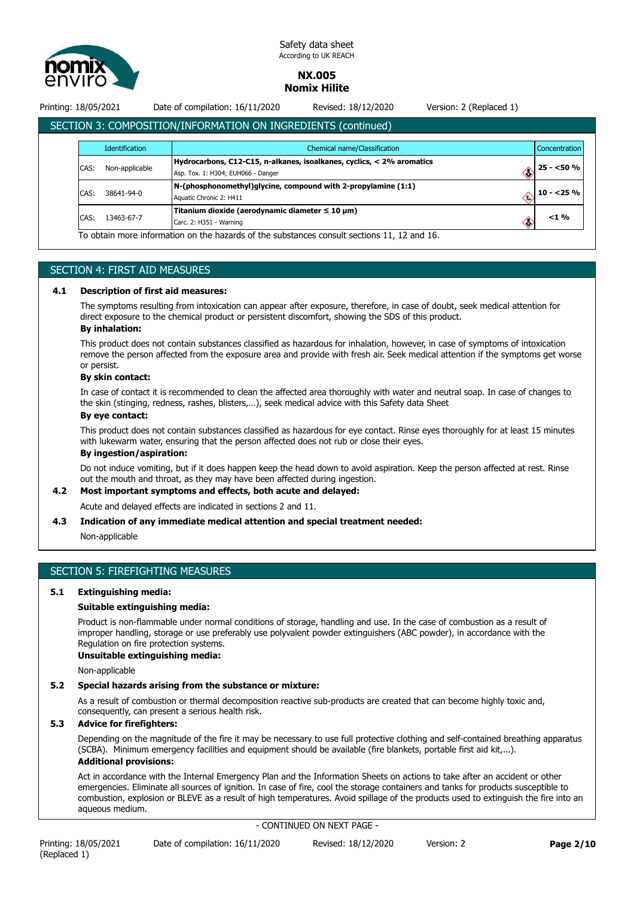

## **NX.005 Nomix Hilite**

Printing: 18/05/2021 Date of compilation: 16/11/2020 Revised: 18/12/2020 Version: 2 (Replaced 1)

# SECTION 3: COMPOSITION/INFORMATION ON INGREDIENTS (continued)

|      | <b>Identification</b> | Chemical name/Classification                                                                                |    | <b>Concentration</b> |
|------|-----------------------|-------------------------------------------------------------------------------------------------------------|----|----------------------|
| CAS: | Non-applicable        | Hydrocarbons, C12-C15, n-alkanes, isoalkanes, cyclics, < 2% aromatics<br>Asp. Tox. 1: H304; EUH066 - Danger | Œ  | $25 - 50%$           |
| CAS: | 38641-94-0            | N-(phosphonomethyl)glycine, compound with 2-propylamine (1:1)<br>Aquatic Chronic 2: H411                    |    | $10 - 25 \%$         |
| CAS: | 13463-67-7            | Titanium dioxide (aerodynamic diameter $\leq 10 \mu m$ )<br>Carc. 2: H351 - Warning                         | œ. | $<$ 1 %              |

## SECTION 4: FIRST AID MEASURES

#### **4.1 Description of first aid measures:**

The symptoms resulting from intoxication can appear after exposure, therefore, in case of doubt, seek medical attention for direct exposure to the chemical product or persistent discomfort, showing the SDS of this product.

## **By inhalation:**

This product does not contain substances classified as hazardous for inhalation, however, in case of symptoms of intoxication remove the person affected from the exposure area and provide with fresh air. Seek medical attention if the symptoms get worse or persist.

## **By skin contact:**

In case of contact it is recommended to clean the affected area thoroughly with water and neutral soap. In case of changes to the skin (stinging, redness, rashes, blisters,…), seek medical advice with this Safety data Sheet

## **By eye contact:**

This product does not contain substances classified as hazardous for eye contact. Rinse eyes thoroughly for at least 15 minutes with lukewarm water, ensuring that the person affected does not rub or close their eyes.

## **By ingestion/aspiration:**

Do not induce vomiting, but if it does happen keep the head down to avoid aspiration. Keep the person affected at rest. Rinse out the mouth and throat, as they may have been affected during ingestion.

## **4.2 Most important symptoms and effects, both acute and delayed:**

Acute and delayed effects are indicated in sections 2 and 11.

#### **4.3 Indication of any immediate medical attention and special treatment needed:**

Non-applicable

## SECTION 5: FIREFIGHTING MEASURES

#### **5.1 Extinguishing media:**

#### **Suitable extinguishing media:**

Product is non-flammable under normal conditions of storage, handling and use. In the case of combustion as a result of improper handling, storage or use preferably use polyvalent powder extinguishers (ABC powder), in accordance with the Regulation on fire protection systems.

#### **Unsuitable extinguishing media:**

Non-applicable

## **5.2 Special hazards arising from the substance or mixture:**

As a result of combustion or thermal decomposition reactive sub-products are created that can become highly toxic and, consequently, can present a serious health risk.

## **5.3 Advice for firefighters:**

Depending on the magnitude of the fire it may be necessary to use full protective clothing and self-contained breathing apparatus (SCBA). Minimum emergency facilities and equipment should be available (fire blankets, portable first aid kit,...).

## **Additional provisions:**

Act in accordance with the Internal Emergency Plan and the Information Sheets on actions to take after an accident or other emergencies. Eliminate all sources of ignition. In case of fire, cool the storage containers and tanks for products susceptible to combustion, explosion or BLEVE as a result of high temperatures. Avoid spillage of the products used to extinguish the fire into an aqueous medium.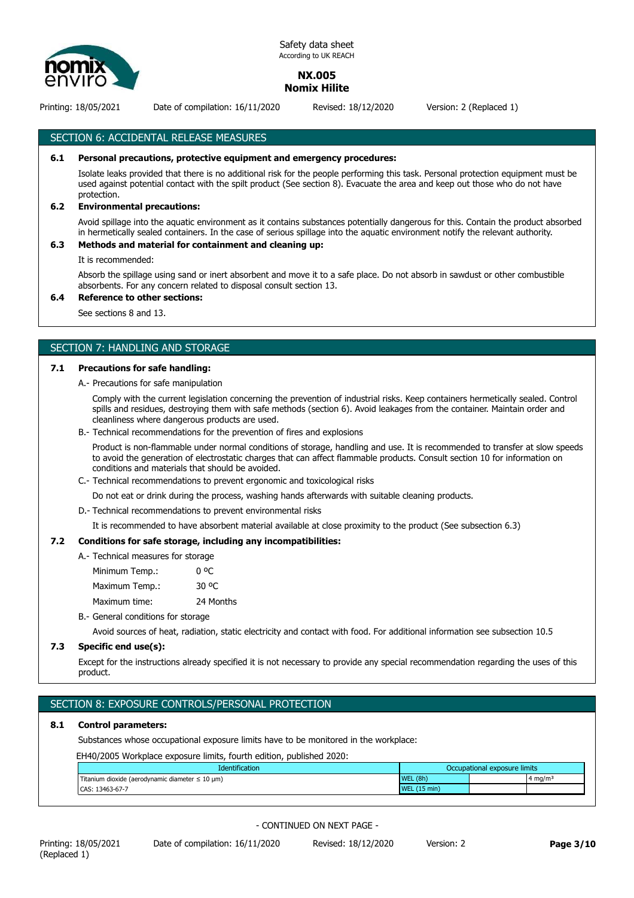

## **NX.005 Nomix Hilite**

Printing: 18/05/2021 Date of compilation: 16/11/2020 Revised: 18/12/2020 Version: 2 (Replaced 1)

SECTION 6: ACCIDENTAL RELEASE MEASURES

## **6.1 Personal precautions, protective equipment and emergency procedures:**

Isolate leaks provided that there is no additional risk for the people performing this task. Personal protection equipment must be used against potential contact with the spilt product (See section 8). Evacuate the area and keep out those who do not have protection.

## **6.2 Environmental precautions:**

Avoid spillage into the aquatic environment as it contains substances potentially dangerous for this. Contain the product absorbed in hermetically sealed containers. In the case of serious spillage into the aquatic environment notify the relevant authority.

## **6.3 Methods and material for containment and cleaning up:**

It is recommended:

Absorb the spillage using sand or inert absorbent and move it to a safe place. Do not absorb in sawdust or other combustible absorbents. For any concern related to disposal consult section 13.

## **6.4 Reference to other sections:**

See sections 8 and 13.

## SECTION 7: HANDLING AND STORAGE

#### **7.1 Precautions for safe handling:**

A.- Precautions for safe manipulation

Comply with the current legislation concerning the prevention of industrial risks. Keep containers hermetically sealed. Control spills and residues, destroying them with safe methods (section 6). Avoid leakages from the container. Maintain order and cleanliness where dangerous products are used.

B.- Technical recommendations for the prevention of fires and explosions

Product is non-flammable under normal conditions of storage, handling and use. It is recommended to transfer at slow speeds to avoid the generation of electrostatic charges that can affect flammable products. Consult section 10 for information on conditions and materials that should be avoided.

C.- Technical recommendations to prevent ergonomic and toxicological risks

Do not eat or drink during the process, washing hands afterwards with suitable cleaning products.

D.- Technical recommendations to prevent environmental risks

It is recommended to have absorbent material available at close proximity to the product (See subsection 6.3)

#### **7.2 Conditions for safe storage, including any incompatibilities:**

| A. Technical measures for storage |           |
|-----------------------------------|-----------|
| Minimum Temp.:                    | 0 oC      |
| Maximum Temp.:                    | 30 °C     |
| Maximum time:                     | 24 Months |
|                                   |           |

B.- General conditions for storage

Avoid sources of heat, radiation, static electricity and contact with food. For additional information see subsection 10.5

### **7.3 Specific end use(s):**

Except for the instructions already specified it is not necessary to provide any special recommendation regarding the uses of this product.

## SECTION 8: EXPOSURE CONTROLS/PERSONAL PROTECTION

#### **8.1 Control parameters:**

Substances whose occupational exposure limits have to be monitored in the workplace:

EH40/2005 Workplace exposure limits, fourth edition, published 2020:

| <b>Identification</b>                                                  |                                  | Occupational exposure limits |
|------------------------------------------------------------------------|----------------------------------|------------------------------|
| Titanium dioxide (aerodynamic diameter $\leq 10 \text{ }\mu\text{m}$ ) | WEL (8h)                         | $4 \text{ ma/m}$             |
| 13463-67-7<br>CAS:                                                     | $(15 \text{ min})$<br><b>WEL</b> |                              |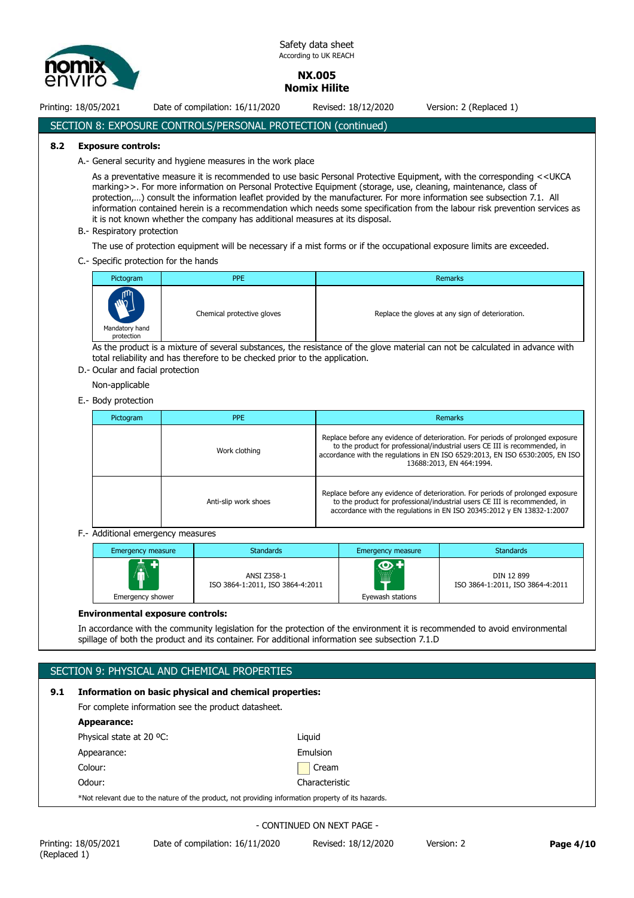

**NX.005 Nomix Hilite**

Printing: 18/05/2021 Date of compilation: 16/11/2020 Revised: 18/12/2020 Version: 2 (Replaced 1)

## SECTION 8: EXPOSURE CONTROLS/PERSONAL PROTECTION (continued)

## **8.2 Exposure controls:**

A.- General security and hygiene measures in the work place

As a preventative measure it is recommended to use basic Personal Protective Equipment, with the corresponding <<UKCA marking>>. For more information on Personal Protective Equipment (storage, use, cleaning, maintenance, class of protection,…) consult the information leaflet provided by the manufacturer. For more information see subsection 7.1. All information contained herein is a recommendation which needs some specification from the labour risk prevention services as it is not known whether the company has additional measures at its disposal.

B.- Respiratory protection

The use of protection equipment will be necessary if a mist forms or if the occupational exposure limits are exceeded.

C.- Specific protection for the hands

| Pictogram                              | <b>PPE</b>                 | <b>Remarks</b>                                   |
|----------------------------------------|----------------------------|--------------------------------------------------|
| m<br>W<br>Mandatory hand<br>protection | Chemical protective gloves | Replace the gloves at any sign of deterioration. |

As the product is a mixture of several substances, the resistance of the glove material can not be calculated in advance with total reliability and has therefore to be checked prior to the application.

D.- Ocular and facial protection

Non-applicable

E.- Body protection

| Pictogram | <b>PPE</b>           | Remarks                                                                                                                                                                                                                                                                    |
|-----------|----------------------|----------------------------------------------------------------------------------------------------------------------------------------------------------------------------------------------------------------------------------------------------------------------------|
|           | Work clothing        | Replace before any evidence of deterioration. For periods of prolonged exposure<br>to the product for professional/industrial users CE III is recommended, in<br>accordance with the regulations in EN ISO 6529:2013, EN ISO 6530:2005, EN ISO<br>13688:2013, EN 464:1994. |
|           | Anti-slip work shoes | Replace before any evidence of deterioration. For periods of prolonged exposure<br>to the product for professional/industrial users CE III is recommended, in<br>accordance with the regulations in EN ISO 20345:2012 y EN 13832-1:2007                                    |

F.- Additional emergency measures

| Emergency measure            | <b>Standards</b>                                | Emergency measure                       | <b>Standards</b>                               |
|------------------------------|-------------------------------------------------|-----------------------------------------|------------------------------------------------|
| <b>A</b><br>Emergency shower | ANSI Z358-1<br>ISO 3864-1:2011, ISO 3864-4:2011 | $\bullet$<br>.<br>₩<br>Eyewash stations | DIN 12 899<br>ISO 3864-1:2011, ISO 3864-4:2011 |

#### **Environmental exposure controls:**

In accordance with the community legislation for the protection of the environment it is recommended to avoid environmental spillage of both the product and its container. For additional information see subsection 7.1.D

|     | SECTION 9: PHYSICAL AND CHEMICAL PROPERTIES                                                        |                |  |  |  |  |
|-----|----------------------------------------------------------------------------------------------------|----------------|--|--|--|--|
| 9.1 | Information on basic physical and chemical properties:                                             |                |  |  |  |  |
|     | For complete information see the product datasheet.                                                |                |  |  |  |  |
|     | Appearance:                                                                                        |                |  |  |  |  |
|     | Physical state at 20 °C:                                                                           | Liquid         |  |  |  |  |
|     | Appearance:                                                                                        | Emulsion       |  |  |  |  |
|     | Colour:                                                                                            | Cream          |  |  |  |  |
|     | Odour:                                                                                             | Characteristic |  |  |  |  |
|     | *Not relevant due to the nature of the product, not providing information property of its hazards. |                |  |  |  |  |
|     |                                                                                                    |                |  |  |  |  |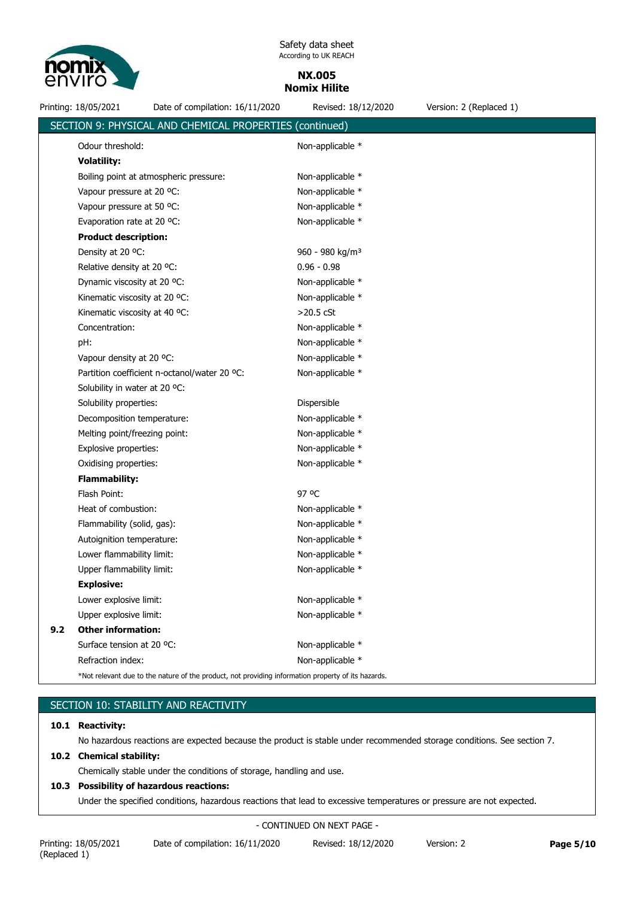

**NX.005 Nomix Hilite**

Printing: 18/05/2021 Date of compilation: 16/11/2020 Revised: 18/12/2020 Version: 2 (Replaced 1)

|     | SECTION 9: PHYSICAL AND CHEMICAL PROPERTIES (continued)                                            |                             |  |  |
|-----|----------------------------------------------------------------------------------------------------|-----------------------------|--|--|
|     | Odour threshold:                                                                                   | Non-applicable *            |  |  |
|     | <b>Volatility:</b>                                                                                 |                             |  |  |
|     | Boiling point at atmospheric pressure:                                                             | Non-applicable *            |  |  |
|     | Vapour pressure at 20 °C:                                                                          | Non-applicable *            |  |  |
|     | Vapour pressure at 50 °C:                                                                          | Non-applicable *            |  |  |
|     | Evaporation rate at 20 °C:                                                                         | Non-applicable *            |  |  |
|     | <b>Product description:</b>                                                                        |                             |  |  |
|     | Density at 20 °C:                                                                                  | 960 - 980 kg/m <sup>3</sup> |  |  |
|     | Relative density at 20 °C:                                                                         | $0.96 - 0.98$               |  |  |
|     | Dynamic viscosity at 20 °C:                                                                        | Non-applicable *            |  |  |
|     | Kinematic viscosity at 20 °C:                                                                      | Non-applicable *            |  |  |
|     | Kinematic viscosity at 40 °C:                                                                      | $>20.5$ cSt                 |  |  |
|     | Concentration:                                                                                     | Non-applicable *            |  |  |
|     | pH:                                                                                                | Non-applicable *            |  |  |
|     | Vapour density at 20 °C:                                                                           | Non-applicable *            |  |  |
|     | Partition coefficient n-octanol/water 20 °C:                                                       | Non-applicable *            |  |  |
|     | Solubility in water at 20 °C:                                                                      |                             |  |  |
|     | Solubility properties:                                                                             | Dispersible                 |  |  |
|     | Decomposition temperature:                                                                         | Non-applicable *            |  |  |
|     | Melting point/freezing point:                                                                      | Non-applicable *            |  |  |
|     | Explosive properties:                                                                              | Non-applicable *            |  |  |
|     | Oxidising properties:                                                                              | Non-applicable *            |  |  |
|     | <b>Flammability:</b>                                                                               |                             |  |  |
|     | Flash Point:                                                                                       | 97 °C                       |  |  |
|     | Heat of combustion:                                                                                | Non-applicable *            |  |  |
|     | Flammability (solid, gas):                                                                         | Non-applicable *            |  |  |
|     | Autoignition temperature:                                                                          | Non-applicable *            |  |  |
|     | Lower flammability limit:                                                                          | Non-applicable *            |  |  |
|     | Upper flammability limit:                                                                          | Non-applicable *            |  |  |
|     | <b>Explosive:</b>                                                                                  |                             |  |  |
|     | Lower explosive limit:                                                                             | Non-applicable *            |  |  |
|     | Upper explosive limit:                                                                             | Non-applicable *            |  |  |
| 9.2 | <b>Other information:</b>                                                                          |                             |  |  |
|     | Surface tension at 20 °C:                                                                          | Non-applicable *            |  |  |
|     | Refraction index:                                                                                  | Non-applicable *            |  |  |
|     | *Not relevant due to the nature of the product, not providing information property of its hazards. |                             |  |  |

# SECTION 10: STABILITY AND REACTIVITY

#### **10.1 Reactivity:**

No hazardous reactions are expected because the product is stable under recommended storage conditions. See section 7.

## **10.2 Chemical stability:**

Chemically stable under the conditions of storage, handling and use.

## **10.3 Possibility of hazardous reactions:**

Under the specified conditions, hazardous reactions that lead to excessive temperatures or pressure are not expected.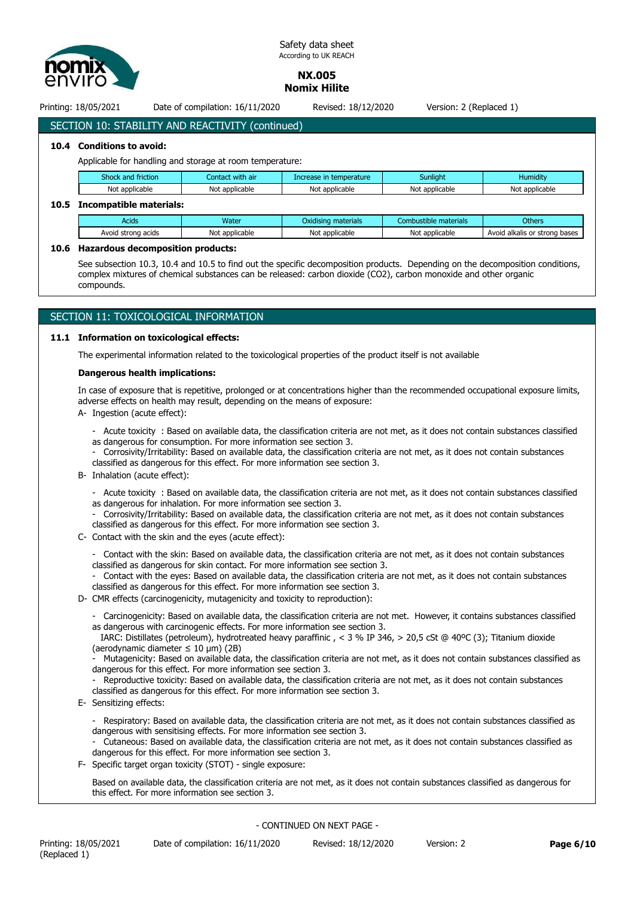

**NX.005 Nomix Hilite**

Printing: 18/05/2021 Date of compilation: 16/11/2020 Revised: 18/12/2020 Version: 2 (Replaced 1)

# SECTION 10: STABILITY AND REACTIVITY (continued)

## **10.4 Conditions to avoid:**

Applicable for handling and storage at room temperature:

| Shock and friction                                 | Contact with air | Increase in temperature | Sunliaht       | Humidity |  |  |  |  |
|----------------------------------------------------|------------------|-------------------------|----------------|----------|--|--|--|--|
| Not applicable<br>Not applicable<br>Not applicable |                  | Not applicable          | Not applicable |          |  |  |  |  |
| Teaconachibla matarialar                           |                  |                         |                |          |  |  |  |  |

#### **10.5 Incompatible materials:**

| Acids                 | Water          | materials<br>Oxidisina | materials<br>.ombustil                              | <b>Others</b> |
|-----------------------|----------------|------------------------|-----------------------------------------------------|---------------|
| Avoid strong<br>acids | Not applicable | Not applicable         | N٥<br>: applicable<br>Avoid<br>alkalis or<br>strona |               |

## **10.6 Hazardous decomposition products:**

See subsection 10.3, 10.4 and 10.5 to find out the specific decomposition products. Depending on the decomposition conditions, complex mixtures of chemical substances can be released: carbon dioxide (CO2), carbon monoxide and other organic compounds.

## SECTION 11: TOXICOLOGICAL INFORMATION

#### **11.1 Information on toxicological effects:**

The experimental information related to the toxicological properties of the product itself is not available

#### **Dangerous health implications:**

In case of exposure that is repetitive, prolonged or at concentrations higher than the recommended occupational exposure limits, adverse effects on health may result, depending on the means of exposure:

- A- Ingestion (acute effect):
	- Acute toxicity : Based on available data, the classification criteria are not met, as it does not contain substances classified as dangerous for consumption. For more information see section 3.
	- Corrosivity/Irritability: Based on available data, the classification criteria are not met, as it does not contain substances classified as dangerous for this effect. For more information see section 3.
- B- Inhalation (acute effect):
	- Acute toxicity : Based on available data, the classification criteria are not met, as it does not contain substances classified as dangerous for inhalation. For more information see section 3.
	- Corrosivity/Irritability: Based on available data, the classification criteria are not met, as it does not contain substances classified as dangerous for this effect. For more information see section 3.
- C- Contact with the skin and the eyes (acute effect):
	- Contact with the skin: Based on available data, the classification criteria are not met, as it does not contain substances classified as dangerous for skin contact. For more information see section 3.

- Contact with the eyes: Based on available data, the classification criteria are not met, as it does not contain substances classified as dangerous for this effect. For more information see section 3.

- D- CMR effects (carcinogenicity, mutagenicity and toxicity to reproduction):
	- Carcinogenicity: Based on available data, the classification criteria are not met. However, it contains substances classified as dangerous with carcinogenic effects. For more information see section 3.

 IARC: Distillates (petroleum), hydrotreated heavy paraffinic , < 3 % IP 346, > 20,5 cSt @ 40ºC (3); Titanium dioxide (aerodynamic diameter  $\leq 10 \text{ }\mu\text{m}$ ) (2B)

Mutagenicity: Based on available data, the classification criteria are not met, as it does not contain substances classified as dangerous for this effect. For more information see section 3.

Reproductive toxicity: Based on available data, the classification criteria are not met, as it does not contain substances classified as dangerous for this effect. For more information see section 3.

E- Sensitizing effects:

- Respiratory: Based on available data, the classification criteria are not met, as it does not contain substances classified as dangerous with sensitising effects. For more information see section 3.

- Cutaneous: Based on available data, the classification criteria are not met, as it does not contain substances classified as dangerous for this effect. For more information see section 3.

F- Specific target organ toxicity (STOT) - single exposure:

Based on available data, the classification criteria are not met, as it does not contain substances classified as dangerous for this effect. For more information see section 3.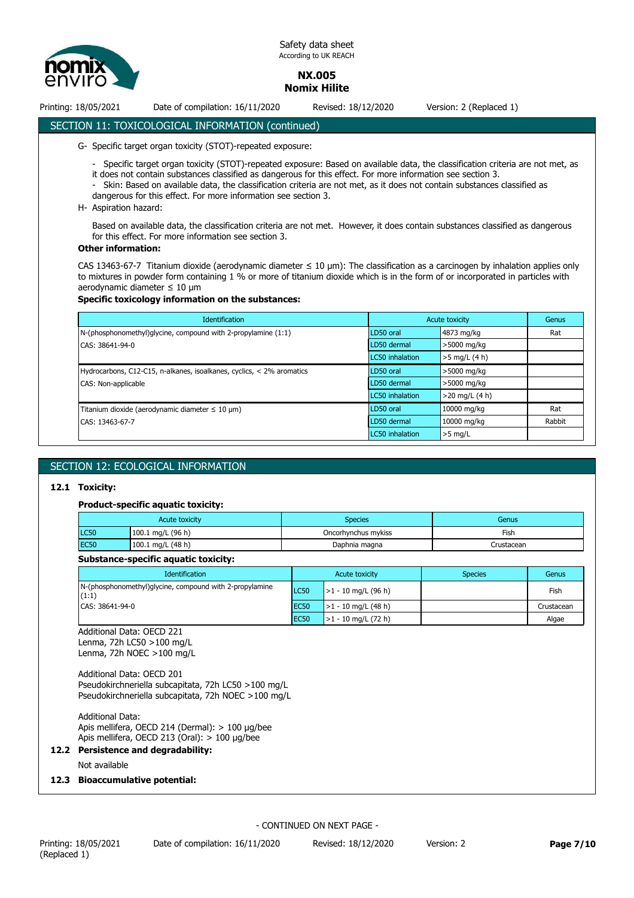

**NX.005 Nomix Hilite**

Printing: 18/05/2021 Date of compilation: 16/11/2020 Revised: 18/12/2020 Version: 2 (Replaced 1)

# SECTION 11: TOXICOLOGICAL INFORMATION (continued)

- G- Specific target organ toxicity (STOT)-repeated exposure:
	- Specific target organ toxicity (STOT)-repeated exposure: Based on available data, the classification criteria are not met, as it does not contain substances classified as dangerous for this effect. For more information see section 3.
	- Skin: Based on available data, the classification criteria are not met, as it does not contain substances classified as dangerous for this effect. For more information see section 3.
- H- Aspiration hazard:

Based on available data, the classification criteria are not met. However, it does contain substances classified as dangerous for this effect. For more information see section 3.

#### **Other information:**

CAS 13463-67-7 Titanium dioxide (aerodynamic diameter ≤ 10 μm): The classification as a carcinogen by inhalation applies only to mixtures in powder form containing 1 % or more of titanium dioxide which is in the form of or incorporated in particles with aerodynamic diameter ≤ 10 μm

#### **Specific toxicology information on the substances:**

| <b>Identification</b>                                                 |                 | Acute toxicity   |        |
|-----------------------------------------------------------------------|-----------------|------------------|--------|
| N-(phosphonomethyl)glycine, compound with 2-propylamine (1:1)         | LD50 oral       | 4873 mg/kg       | Rat    |
| CAS: 38641-94-0                                                       | LD50 dermal     | >5000 mg/kg      |        |
|                                                                       | LC50 inhalation | $>5$ mg/L (4 h)  |        |
| Hydrocarbons, C12-C15, n-alkanes, isoalkanes, cyclics, < 2% aromatics | LD50 oral       | >5000 mg/kg      |        |
| CAS: Non-applicable                                                   | LD50 dermal     | >5000 mg/kg      |        |
|                                                                       | LC50 inhalation | $>20$ mg/L (4 h) |        |
| Titanium dioxide (aerodynamic diameter $\leq 10 \,\mu m$ )            | LD50 oral       | 10000 mg/kg      | Rat    |
| CAS: 13463-67-7                                                       | LD50 dermal     | 10000 mg/kg      | Rabbit |
|                                                                       | LC50 inhalation | $>5$ mg/L        |        |

## SECTION 12: ECOLOGICAL INFORMATION

#### **12.1 Toxicity:**

#### **Product-specific aquatic toxicity:**

| Acute toxicity |                     | Species             | Genus      |  |
|----------------|---------------------|---------------------|------------|--|
| <b>LC50</b>    | 100.1 mg/L (96 h)   | Oncorhynchus mykiss | Fish       |  |
| <b>EC50</b>    | 100.1 mg/L $(48 h)$ | Daphnia magna       | Crustacean |  |

# **Substance-specific aquatic toxicity:**

| <b>Identification</b>                                            | Acute toxicity   |                       | <b>Species</b> | Genus      |
|------------------------------------------------------------------|------------------|-----------------------|----------------|------------|
| N-(phosphonomethyl)glycine, compound with 2-propylamine<br>(1:1) | LC50             | $>1 - 10$ mg/L (96 h) |                | Fish       |
| CAS: 38641-94-0                                                  | <b>IEC50</b>     | $>1 - 10$ mg/L (48 h) |                | Crustacean |
|                                                                  | EC <sub>50</sub> | $>1 - 10$ mg/L (72 h) |                | Algae      |

Additional Data: OECD 221 Lenma, 72h LC50 >100 mg/L

Lenma, 72h NOEC >100 mg/L

Additional Data: OECD 201 Pseudokirchneriella subcapitata, 72h LC50 >100 mg/L Pseudokirchneriella subcapitata, 72h NOEC >100 mg/L

Additional Data: Apis mellifera, OECD 214 (Dermal): > 100 µg/bee Apis mellifera, OECD 213 (Oral): > 100 µg/bee

## **12.2 Persistence and degradability:**

Not available

## **12.3 Bioaccumulative potential:**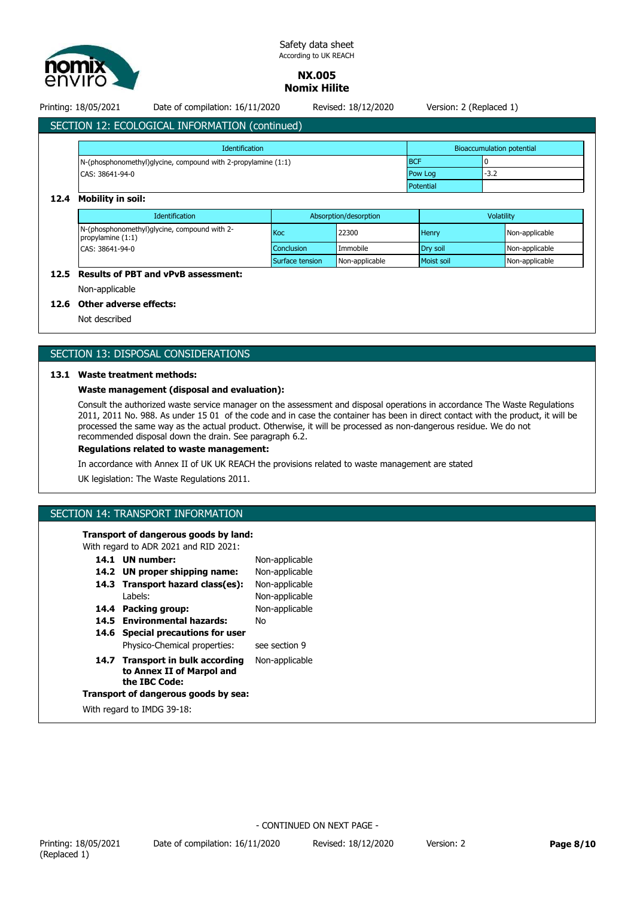

## **NX.005 Nomix Hilite**

Printing: 18/05/2021 Date of compilation: 16/11/2020 Revised: 18/12/2020 Version: 2 (Replaced 1)

# SECTION 12: ECOLOGICAL INFORMATION (continued)

| <b>Identification</b>                                         |                | Bioaccumulation potential |  |
|---------------------------------------------------------------|----------------|---------------------------|--|
| N-(phosphonomethyl)glycine, compound with 2-propylamine (1:1) | <b>BCF</b>     |                           |  |
| CAS: 38641-94-0                                               | <b>Pow Log</b> | $-3.2$                    |  |
|                                                               | Potential      |                           |  |

## **12.4 Mobility in soil:**

| <b>Identification</b>                                                                  | Absorption/desorption |                | Volatility        |                |
|----------------------------------------------------------------------------------------|-----------------------|----------------|-------------------|----------------|
| N-(phosphonomethyl)glycine, compound with 2-<br>propylamine $(1:1)$<br>CAS: 38641-94-0 | Koc                   | 22300          | Henry             | Non-applicable |
|                                                                                        | Conclusion            | Immobile       | <b>Drv</b> soil   | Non-applicable |
|                                                                                        | Surface tension       | Non-applicable | <b>Moist soil</b> | Non-applicable |

## **12.5 Results of PBT and vPvB assessment:**

Non-applicable

## **12.6 Other adverse effects:**

Not described

## SECTION 13: DISPOSAL CONSIDERATIONS

#### **13.1 Waste treatment methods:**

## **Waste management (disposal and evaluation):**

Consult the authorized waste service manager on the assessment and disposal operations in accordance The Waste Regulations 2011, 2011 No. 988. As under 15 01 of the code and in case the container has been in direct contact with the product, it will be processed the same way as the actual product. Otherwise, it will be processed as non-dangerous residue. We do not recommended disposal down the drain. See paragraph 6.2.

## **Regulations related to waste management:**

In accordance with Annex II of UK UK REACH the provisions related to waste management are stated

UK legislation: The Waste Regulations 2011.

## SECTION 14: TRANSPORT INFORMATION

#### **Transport of dangerous goods by land:**

With regard to ADR 2021 and RID 2021:

|                                      | 14.1 UN number:                                                                | Non-applicable |  |  |  |
|--------------------------------------|--------------------------------------------------------------------------------|----------------|--|--|--|
|                                      | 14.2 UN proper shipping name:                                                  | Non-applicable |  |  |  |
|                                      | 14.3 Transport hazard class(es):                                               | Non-applicable |  |  |  |
|                                      | Labels:                                                                        | Non-applicable |  |  |  |
|                                      | 14.4 Packing group:                                                            | Non-applicable |  |  |  |
|                                      | 14.5 Environmental hazards:                                                    | Nο             |  |  |  |
|                                      | 14.6 Special precautions for user                                              |                |  |  |  |
|                                      | Physico-Chemical properties:                                                   | see section 9  |  |  |  |
|                                      | 14.7 Transport in bulk according<br>to Annex II of Marpol and<br>the IBC Code: | Non-applicable |  |  |  |
| Transport of dangerous goods by sea: |                                                                                |                |  |  |  |
| With regard to IMDG 39-18:           |                                                                                |                |  |  |  |
|                                      |                                                                                |                |  |  |  |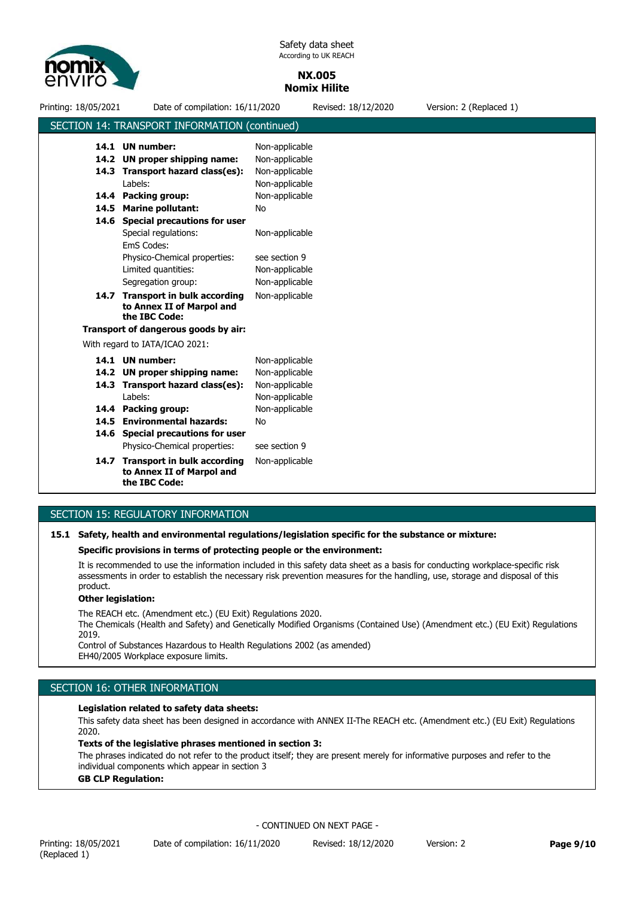

## **NX.005 Nomix Hilite**

Printing: 18/05/2021 Date of compilation: 16/11/2020 Revised: 18/12/2020 Version: 2 (Replaced 1) SECTION 14: TRANSPORT INFORMATION (continued) Limited quantities: Non-applicable 14.7 Transport in bulk according Non-applicable **to Annex II of Marpol and the IBC Code:** 14.6 Special precautions for user **14.5 Marine pollutant:** No EmS Codes: **14.4 Packing group: 14.3 Transport hazard class(es): 14.2 UN proper shipping name: 14.1 UN number:** Labels: Special regulations: Physico-Chemical properties: Non-applicable Non-applicable Non-applicable Non-applicable Non-applicable Non-applicable see section 9 Segregation group: Non-applicable **Transport of dangerous goods by air:** With regard to IATA/ICAO 2021: **14.6 Special precautions for user 14.4 Packing group:** Non-applicable **14.3 Transport hazard class(es):** Non-applicable **14.2 UN proper shipping name:** Non-applicable **14.1** Physico-Chemical properties: see section 9 Labels: Non-applicable Non-applicable **14.5 Environmental hazards:** No 14.7 Transport in bulk according Non-applicable **to Annex II of Marpol and the IBC Code:**

## SECTION 15: REGULATORY INFORMATION

#### **15.1 Safety, health and environmental regulations/legislation specific for the substance or mixture:**

#### **Specific provisions in terms of protecting people or the environment:**

It is recommended to use the information included in this safety data sheet as a basis for conducting workplace-specific risk assessments in order to establish the necessary risk prevention measures for the handling, use, storage and disposal of this product.

## **Other legislation:**

The REACH etc. (Amendment etc.) (EU Exit) Regulations 2020.

The Chemicals (Health and Safety) and Genetically Modified Organisms (Contained Use) (Amendment etc.) (EU Exit) Regulations 2019.

Control of Substances Hazardous to Health Regulations 2002 (as amended) EH40/2005 Workplace exposure limits.

## SECTION 16: OTHER INFORMATION

#### **Legislation related to safety data sheets:**

This safety data sheet has been designed in accordance with ANNEX II-The REACH etc. (Amendment etc.) (EU Exit) Regulations 2020.

## **Texts of the legislative phrases mentioned in section 3:**

The phrases indicated do not refer to the product itself; they are present merely for informative purposes and refer to the individual components which appear in section 3

#### **GB CLP Regulation:**